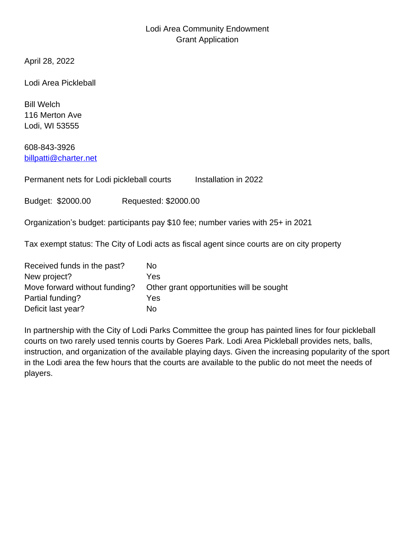## Lodi Area Community Endowment Grant Application

April 28, 2022

Lodi Area Pickleball

Bill Welch 116 Merton Ave Lodi, WI 53555

608-843-3926 [billpatti@charter.net](mailto:billpatti@charter.net)

Permanent nets for Lodi pickleball courts Installation in 2022

Budget: \$2000.00 Requested: \$2000.00

Organization's budget: participants pay \$10 fee; number varies with 25+ in 2021

Tax exempt status: The City of Lodi acts as fiscal agent since courts are on city property

| Nο                                       |
|------------------------------------------|
| Yes                                      |
| Other grant opportunities will be sought |
| Yes                                      |
| N٥                                       |
|                                          |

In partnership with the City of Lodi Parks Committee the group has painted lines for four pickleball courts on two rarely used tennis courts by Goeres Park. Lodi Area Pickleball provides nets, balls, instruction, and organization of the available playing days. Given the increasing popularity of the sport in the Lodi area the few hours that the courts are available to the public do not meet the needs of players.